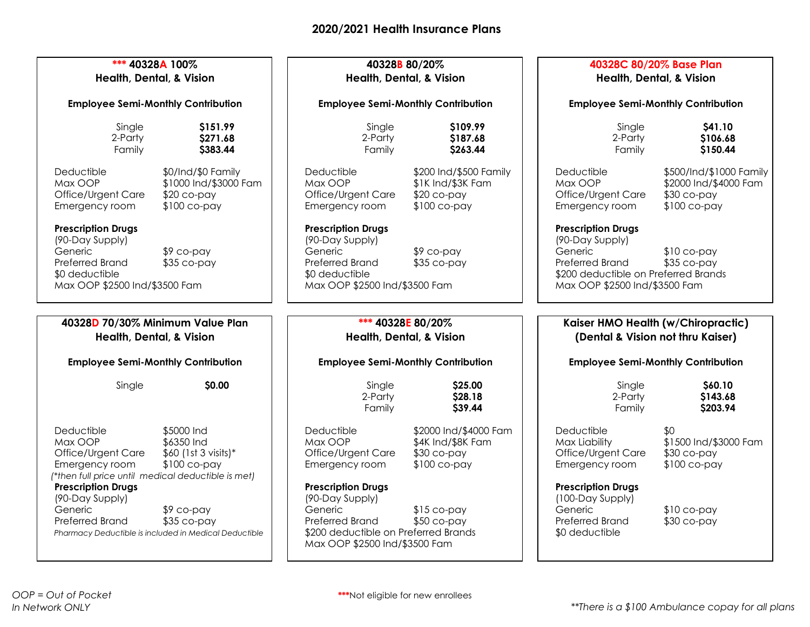| *** 40328A 100%<br>Health, Dental, & Vision<br><b>Employee Semi-Monthly Contribution</b>                                                                                                                 |                                                                                                             | 40328B 80/20%<br><b>Health, Dental, &amp; Vision</b><br><b>Employee Semi-Monthly Contribution</b>                                                                                              |                                                                                                             | 40328C 80/20% Base Plan<br><b>Health, Dental, &amp; Vision</b><br><b>Employee Semi-Monthly Contribution</b>                                                                                                          |                                                                                                                   |
|----------------------------------------------------------------------------------------------------------------------------------------------------------------------------------------------------------|-------------------------------------------------------------------------------------------------------------|------------------------------------------------------------------------------------------------------------------------------------------------------------------------------------------------|-------------------------------------------------------------------------------------------------------------|----------------------------------------------------------------------------------------------------------------------------------------------------------------------------------------------------------------------|-------------------------------------------------------------------------------------------------------------------|
|                                                                                                                                                                                                          |                                                                                                             |                                                                                                                                                                                                |                                                                                                             |                                                                                                                                                                                                                      |                                                                                                                   |
| Deductible<br>Max OOP<br>Office/Urgent Care<br>Emergency room<br><b>Prescription Drugs</b><br>(90-Day Supply)<br>Generic<br><b>Preferred Brand</b><br>\$0 deductible<br>Max OOP \$2500 Ind/\$3500 Fam    | \$0/Ind/\$0 Family<br>\$1000 Ind/\$3000 Fam<br>$$20$ co-pay<br>$$100$ co-pay<br>$$9$ co-pay<br>$$35$ co-pay | Deductible<br>Max OOP<br>Office/Urgent Care<br>Emergency room<br><b>Prescription Drugs</b><br>(90-Day Supply)<br>Generic<br>Preferred Brand<br>\$0 deductible<br>Max OOP \$2500 Ind/\$3500 Fam | \$200 Ind/\$500 Family<br>\$1K Ind/\$3K Fam<br>$$20$ co-pay<br>$$100$ co-pay<br>$$9$ co-pay<br>$$35$ co-pay | Deductible<br>Max OOP<br>Office/Urgent Care<br>Emergency room<br><b>Prescription Drugs</b><br>(90-Day Supply)<br>Generic<br>Preferred Brand<br>\$200 deductible on Preferred Brands<br>Max OOP \$2500 Ind/\$3500 Fam | \$500/Ind/\$1000 Family<br>\$2000 Ind/\$4000 Fam<br>$$30$ co-pay<br>$$100$ co-pay<br>$$10$ co-pay<br>$$35$ co-pay |
|                                                                                                                                                                                                          |                                                                                                             |                                                                                                                                                                                                |                                                                                                             |                                                                                                                                                                                                                      |                                                                                                                   |
| 40328D 70/30% Minimum Value Plan<br>Health, Dental, & Vision                                                                                                                                             |                                                                                                             | *** 40328E 80/20%<br><b>Health, Dental, &amp; Vision</b>                                                                                                                                       |                                                                                                             | Kaiser HMO Health (w/Chiropractic)<br>(Dental & Vision not thru Kaiser)                                                                                                                                              |                                                                                                                   |
| <b>Employee Semi-Monthly Contribution</b>                                                                                                                                                                |                                                                                                             | <b>Employee Semi-Monthly Contribution</b>                                                                                                                                                      |                                                                                                             | <b>Employee Semi-Monthly Contribution</b>                                                                                                                                                                            |                                                                                                                   |
| Single                                                                                                                                                                                                   | \$0.00                                                                                                      | Single<br>2-Party<br>Family                                                                                                                                                                    | \$25.00<br>\$28.18<br>\$39.44                                                                               | Single<br>2-Party<br>Family                                                                                                                                                                                          | \$60.10<br>\$143.68<br>\$203.94                                                                                   |
| Deductible<br>Max OOP<br>Office/Urgent Care<br>Emergency room<br>(*then full price until medical deductible is met)<br><b>Prescription Drugs</b><br>(90-Day Supply)<br>Generic<br><b>Preferred Brand</b> | \$5000 Ind<br>\$6350 Ind<br>\$60 (1st 3 visits)*<br>\$100 co-pay<br>$$9$ co-pay<br>$$35$ co-pay             | Deductible<br>Max OOP<br>Office/Urgent Care<br>Emergency room<br><b>Prescription Drugs</b><br>(90-Day Supply)<br>Generic<br>Preferred Brand                                                    | \$2000 Ind/\$4000 Fam<br>\$4K Ind/\$8K Fam<br>$$30$ co-pay<br>$$100$ co-pay<br>$$15$ co-pay<br>$$50$ co-pay | Deductible<br>Max Liability<br>Office/Urgent Care<br>Emergency room<br><b>Prescription Drugs</b><br>(100-Day Supply)<br>Generic<br>Preferred Brand<br>\$0 deductible                                                 | \$0<br>\$1500 Ind/\$3000 Fam<br>$$30$ co-pay<br>$$100$ co-pay<br>$$10$ co-pay<br>$$30$ co-pay                     |
|                                                                                                                                                                                                          | Pharmacy Deductible is included in Medical Deductible                                                       | \$200 deductible on Preferred Brands                                                                                                                                                           |                                                                                                             |                                                                                                                                                                                                                      |                                                                                                                   |